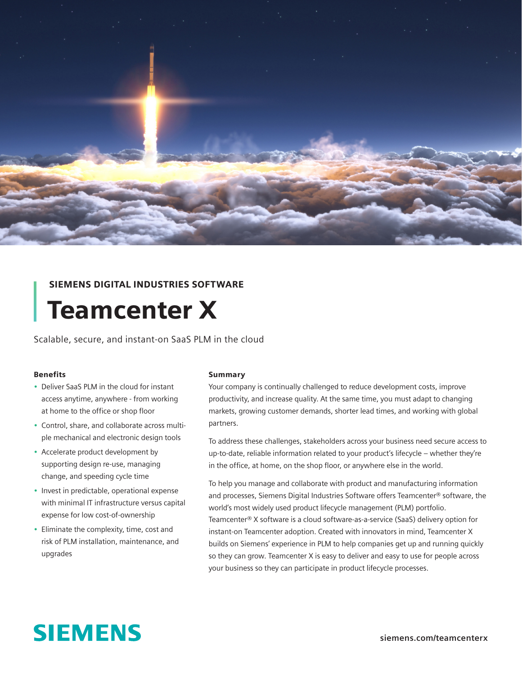

### SIEMENS DIGITAL INDUSTRIES SOFTWARE

## Teamcenter X

Scalable, secure, and instant-on SaaS PLM in the cloud

#### Benefits

- Deliver SaaS PLM in the cloud for instant access anytime, anywhere - from working at home to the office or shop floor
- Control, share, and collaborate across multiple mechanical and electronic design tools
- Accelerate product development by supporting design re-use, managing change, and speeding cycle time
- Invest in predictable, operational expense with minimal IT infrastructure versus capital expense for low cost-of-ownership
- Eliminate the complexity, time, cost and risk of PLM installation, maintenance, and upgrades

#### **Summary**

Your company is continually challenged to reduce development costs, improve productivity, and increase quality. At the same time, you must adapt to changing markets, growing customer demands, shorter lead times, and working with global partners.

To address these challenges, stakeholders across your business need secure access to up-to-date, reliable information related to your product's lifecycle – whether they're in the office, at home, on the shop floor, or anywhere else in the world.

To help you manage and collaborate with product and manufacturing information and processes, Siemens Digital Industries Software offers Teamcenter® software, the world's most widely used product lifecycle management (PLM) portfolio. Teamcenter® X software is a cloud software-as-a-service (SaaS) delivery option for instant-on Teamcenter adoption. Created with innovators in mind, Teamcenter X builds on Siemens' experience in PLM to help companies get up and running quickly so they can grow. Teamcenter X is easy to deliver and easy to use for people across your business so they can participate in product lifecycle processes.

# **SIEMENS**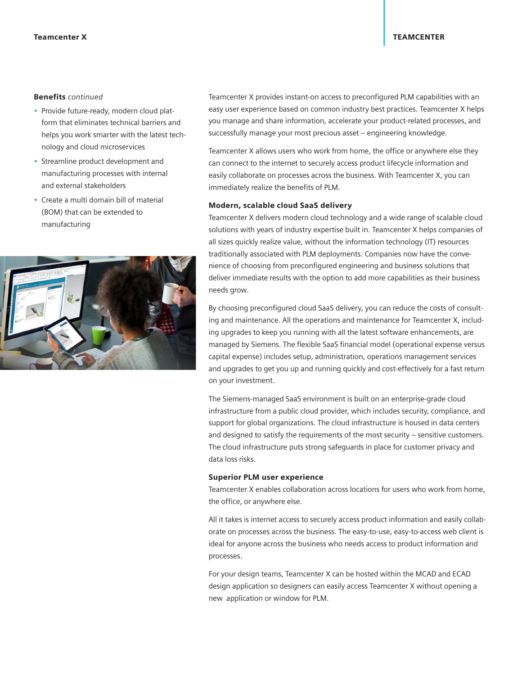#### Benefits *continued*

- Provide future-ready, modern cloud platform that eliminates technical barriers and helps you work smarter with the latest technology and cloud microservices
- Streamline product development and manufacturing processes with internal and external stakeholders
- Create a multi domain bill of material (BOM) that can be extended to manufacturing



Teamcenter X provides instant-on access to preconfigured PLM capabilities with an easy user experience based on common industry best practices. Teamcenter X helps you manage and share information, accelerate your product-related processes, and successfully manage your most precious asset – engineering knowledge.

Teamcenter X allows users who work from home, the office or anywhere else they can connect to the internet to securely access product lifecycle information and easily collaborate on processes across the business. With Teamcenter X, you can immediately realize the benefits of PLM.

#### Modern, scalable cloud SaaS delivery

Teamcenter X delivers modern cloud technology and a wide range of scalable cloud solutions with years of industry expertise built in. Teamcenter X helps companies of all sizes quickly realize value, without the information technology (IT) resources traditionally associated with PLM deployments. Companies now have the convenience of choosing from preconfigured engineering and business solutions that deliver immediate results with the option to add more capabilities as their business needs grow.

By choosing preconfigured cloud SaaS delivery, you can reduce the costs of consulting and maintenance. All the operations and maintenance for Teamcenter X, including upgrades to keep you running with all the latest software enhancements, are managed by Siemens. The flexible SaaS financial model (operational expense versus capital expense) includes setup, administration, operations management services and upgrades to get you up and running quickly and cost-effectively for a fast return on your investment.

The Siemens-managed SaaS environment is built on an enterprise-grade cloud infrastructure from a public cloud provider, which includes security, compliance, and support for global organizations. The cloud infrastructure is housed in data centers and designed to satisfy the requirements of the most security – sensitive customers. The cloud infrastructure puts strong safeguards in place for customer privacy and data loss risks.

#### Superior PLM user experience

Teamcenter X enables collaboration across locations for users who work from home, the office, or anywhere else.

All it takes is internet access to securely access product information and easily collaborate on processes across the business. The easy-to-use, easy-to-access web client is ideal for anyone across the business who needs access to product information and processes.

For your design teams, Teamcenter X can be hosted within the MCAD and ECAD design application so designers can easily access Teamcenter X without opening a new application or window for PLM.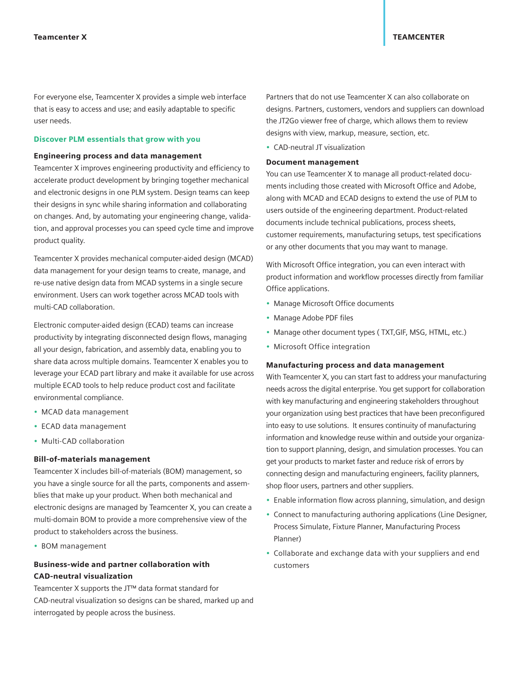For everyone else, Teamcenter X provides a simple web interface that is easy to access and use; and easily adaptable to specific user needs.

#### Discover PLM essentials that grow with you

#### Engineering process and data management

Teamcenter X improves engineering productivity and efficiency to accelerate product development by bringing together mechanical and electronic designs in one PLM system. Design teams can keep their designs in sync while sharing information and collaborating on changes. And, by automating your engineering change, validation, and approval processes you can speed cycle time and improve product quality.

Teamcenter X provides mechanical computer-aided design (MCAD) data management for your design teams to create, manage, and re-use native design data from MCAD systems in a single secure environment. Users can work together across MCAD tools with multi-CAD collaboration.

Electronic computer-aided design (ECAD) teams can increase productivity by integrating disconnected design flows, managing all your design, fabrication, and assembly data, enabling you to share data across multiple domains. Teamcenter X enables you to leverage your ECAD part library and make it available for use across multiple ECAD tools to help reduce product cost and facilitate environmental compliance.

- MCAD data management
- ECAD data management
- Multi-CAD collaboration

#### Bill-of-materials management

Teamcenter X includes bill-of-materials (BOM) management, so you have a single source for all the parts, components and assemblies that make up your product. When both mechanical and electronic designs are managed by Teamcenter X, you can create a multi-domain BOM to provide a more comprehensive view of the product to stakeholders across the business.

• BOM management

### Business-wide and partner collaboration with CAD-neutral visualization

Teamcenter X supports the JT™ data format standard for CAD-neutral visualization so designs can be shared, marked up and interrogated by people across the business.

Partners that do not use Teamcenter X can also collaborate on designs. Partners, customers, vendors and suppliers can download the JT2Go viewer free of charge, which allows them to review designs with view, markup, measure, section, etc.

• CAD-neutral JT visualization

#### Document management

You can use Teamcenter X to manage all product-related documents including those created with Microsoft Office and Adobe, along with MCAD and ECAD designs to extend the use of PLM to users outside of the engineering department. Product-related documents include technical publications, process sheets, customer requirements, manufacturing setups, test specifications or any other documents that you may want to manage.

With Microsoft Office integration, you can even interact with product information and workflow processes directly from familiar Office applications.

- Manage Microsoft Office documents
- Manage Adobe PDF files
- Manage other document types ( TXT,GIF, MSG, HTML, etc.)
- Microsoft Office integration

#### Manufacturing process and data management

With Teamcenter X, you can start fast to address your manufacturing needs across the digital enterprise. You get support for collaboration with key manufacturing and engineering stakeholders throughout your organization using best practices that have been preconfigured into easy to use solutions. It ensures continuity of manufacturing information and knowledge reuse within and outside your organization to support planning, design, and simulation processes. You can get your products to market faster and reduce risk of errors by connecting design and manufacturing engineers, facility planners, shop floor users, partners and other suppliers.

- Enable information flow across planning, simulation, and design
- Connect to manufacturing authoring applications (Line Designer, Process Simulate, Fixture Planner, Manufacturing Process Planner)
- Collaborate and exchange data with your suppliers and end customers